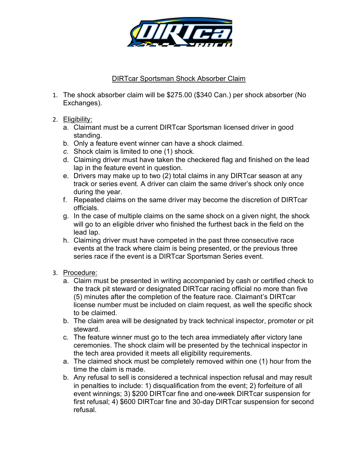

## DIRTcar Sportsman Shock Absorber Claim

- 1. The shock absorber claim will be \$275.00 (\$340 Can.) per shock absorber (No Exchanges).
- 2. Eligibility:
	- a. Claimant must be a current DIRTcar Sportsman licensed driver in good standing.
	- b. Only a feature event winner can have a shock claimed.
	- c. Shock claim is limited to one (1) shock.
	- d. Claiming driver must have taken the checkered flag and finished on the lead lap in the feature event in question.
	- e. Drivers may make up to two (2) total claims in any DIRTcar season at any track or series event. A driver can claim the same driver's shock only once during the year.
	- f. Repeated claims on the same driver may become the discretion of DIRTcar officials.
	- g. In the case of multiple claims on the same shock on a given night, the shock will go to an eligible driver who finished the furthest back in the field on the lead lap.
	- h. Claiming driver must have competed in the past three consecutive race events at the track where claim is being presented, or the previous three series race if the event is a DIRTcar Sportsman Series event.
- 3. Procedure:
	- a. Claim must be presented in writing accompanied by cash or certified check to the track pit steward or designated DIRTcar racing official no more than five (5) minutes after the completion of the feature race. Claimant's DIRTcar license number must be included on claim request, as well the specific shock to be claimed.
	- b. The claim area will be designated by track technical inspector, promoter or pit steward.
	- c. The feature winner must go to the tech area immediately after victory lane ceremonies. The shock claim will be presented by the technical inspector in the tech area provided it meets all eligibility requirements.
	- a. The claimed shock must be completely removed within one (1) hour from the time the claim is made.
	- b. Any refusal to sell is considered a technical inspection refusal and may result in penalties to include: 1) disqualification from the event; 2) forfeiture of all event winnings; 3) \$200 DIRTcar fine and one-week DIRTcar suspension for first refusal; 4) \$600 DIRTcar fine and 30-day DIRTcar suspension for second refusal.